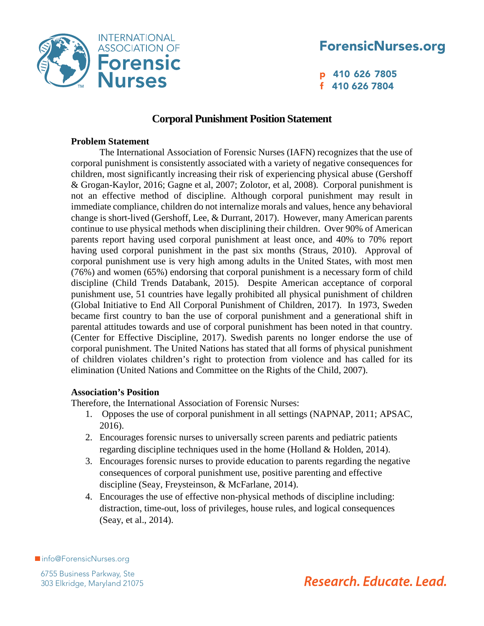

# ForensicNurses.org

p 410 626 7805 f 410 626 7804

## **Corporal Punishment Position Statement**

#### **Problem Statement**

The International Association of Forensic Nurses (IAFN) recognizes that the use of corporal punishment is consistently associated with a variety of negative consequences for children, most significantly increasing their risk of experiencing physical abuse (Gershoff & Grogan-Kaylor, 2016; Gagne et al, 2007; Zolotor, et al, 2008). Corporal punishment is not an effective method of discipline. Although corporal punishment may result in immediate compliance, children do not internalize morals and values, hence any behavioral change is short-lived (Gershoff, Lee, & Durrant, 2017). However, many American parents continue to use physical methods when disciplining their children. Over 90% of American parents report having used corporal punishment at least once, and 40% to 70% report having used corporal punishment in the past six months (Straus, 2010). Approval of corporal punishment use is very high among adults in the United States, with most men (76%) and women (65%) endorsing that corporal punishment is a necessary form of child discipline (Child Trends Databank, 2015). Despite American acceptance of corporal punishment use, 51 countries have legally prohibited all physical punishment of children (Global Initiative to End All Corporal Punishment of Children, 2017). In 1973, Sweden became first country to ban the use of corporal punishment and a generational shift in parental attitudes towards and use of corporal punishment has been noted in that country. (Center for Effective Discipline, 2017). Swedish parents no longer endorse the use of corporal punishment. The United Nations has stated that all forms of physical punishment of children violates children's right to protection from violence and has called for its elimination (United Nations and Committee on the Rights of the Child, 2007).

## **Association's Position**

Therefore, the International Association of Forensic Nurses:

- 1. Opposes the use of corporal punishment in all settings (NAPNAP, 2011; APSAC, 2016).
- 2. Encourages forensic nurses to universally screen parents and pediatric patients regarding discipline techniques used in the home (Holland & Holden, 2014).
- 3. Encourages forensic nurses to provide education to parents regarding the negative consequences of corporal punishment use, positive parenting and effective discipline (Seay, Freysteinson, & McFarlane, 2014).
- 4. Encourages the use of effective non-physical methods of discipline including: distraction, time-out, loss of privileges, house rules, and logical consequences (Seay, et al., 2014).

■info@ForensicNurses.org

6755 Business Parkway, Ste 303 Elkridge, Maryland 21075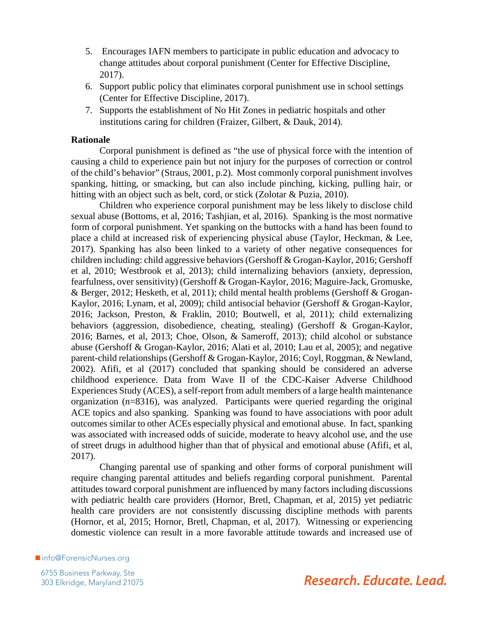- 5. Encourages IAFN members to participate in public education and advocacy to change attitudes about corporal punishment (Center for Effective Discipline, 2017).
- 6. Support public policy that eliminates corporal punishment use in school settings (Center for Effective Discipline, 2017).
- 7. Supports the establishment of No Hit Zones in pediatric hospitals and other institutions caring for children (Fraizer, Gilbert, & Dauk, 2014).

#### **Rationale**

Corporal punishment is defined as "the use of physical force with the intention of causing a child to experience pain but not injury for the purposes of correction or control of the child's behavior" (Straus, 2001, p.2). Most commonly corporal punishment involves spanking, hitting, or smacking, but can also include pinching, kicking, pulling hair, or hitting with an object such as belt, cord, or stick (Zolotar & Puzia, 2010).

Children who experience corporal punishment may be less likely to disclose child sexual abuse (Bottoms, et al, 2016; Tashjian, et al, 2016).Spanking is the most normative form of corporal punishment. Yet spanking on the buttocks with a hand has been found to place a child at increased risk of experiencing physical abuse (Taylor, Heckman, & Lee, 2017). Spanking has also been linked to a variety of other negative consequences for children including: child aggressive behaviors (Gershoff & Grogan-Kaylor, 2016; Gershoff et al, 2010; Westbrook et al, 2013); child internalizing behaviors (anxiety, depression, fearfulness, over sensitivity) (Gershoff & Grogan-Kaylor, 2016; Maguire-Jack, Gromuske, & Berger, 2012; Hesketh, et al, 2011); child mental health problems (Gershoff & Grogan-Kaylor, 2016; Lynam, et al, 2009); child antisocial behavior (Gershoff & Grogan-Kaylor, 2016; Jackson, Preston, & Fraklin, 2010; Boutwell, et al, 2011); child externalizing behaviors (aggression, disobedience, cheating, stealing) (Gershoff & Grogan-Kaylor, 2016; Barnes, et al, 2013; Choe, Olson, & Sameroff, 2013); child alcohol or substance abuse (Gershoff & Grogan-Kaylor, 2016; Alati et al, 2010; Lau et al, 2005); and negative parent-child relationships (Gershoff & Grogan-Kaylor, 2016; Coyl, Roggman, & Newland, 2002). Afifi, et al (2017) concluded that spanking should be considered an adverse childhood experience. Data from Wave II of the CDC-Kaiser Adverse Childhood Experiences Study (ACES), a self-report from adult members of a large health maintenance organization (n=8316), was analyzed. Participants were queried regarding the original ACE topics and also spanking. Spanking was found to have associations with poor adult outcomes similar to other ACEs especially physical and emotional abuse. In fact, spanking was associated with increased odds of suicide, moderate to heavy alcohol use, and the use of street drugs in adulthood higher than that of physical and emotional abuse (Afifi, et al, 2017).

Changing parental use of spanking and other forms of corporal punishment will require changing parental attitudes and beliefs regarding corporal punishment. Parental attitudes toward corporal punishment are influenced by many factors including discussions with pediatric health care providers (Hornor, Bretl, Chapman, et al, 2015) yet pediatric health care providers are not consistently discussing discipline methods with parents (Hornor, et al, 2015; Hornor, Bretl, Chapman, et al, 2017). Witnessing or experiencing domestic violence can result in a more favorable attitude towards and increased use of

■info@ForensicNurses.org

6755 Business Parkway, Ste 303 Elkridge, Maryland 21075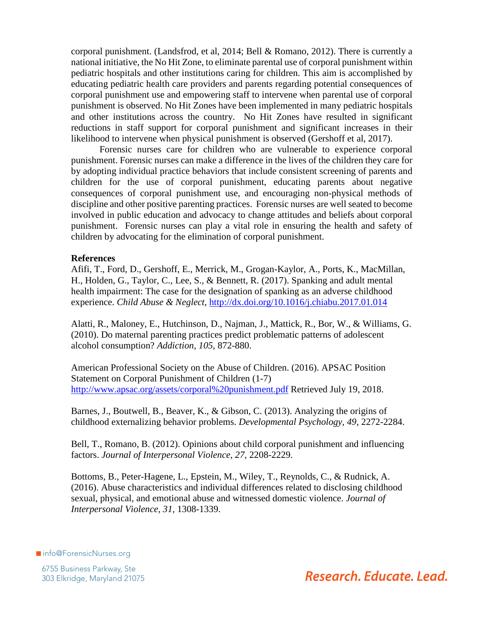corporal punishment. (Landsfrod, et al, 2014; Bell & Romano, 2012). There is currently a national initiative, the No Hit Zone, to eliminate parental use of corporal punishment within pediatric hospitals and other institutions caring for children. This aim is accomplished by educating pediatric health care providers and parents regarding potential consequences of corporal punishment use and empowering staff to intervene when parental use of corporal punishment is observed. No Hit Zones have been implemented in many pediatric hospitals and other institutions across the country. No Hit Zones have resulted in significant reductions in staff support for corporal punishment and significant increases in their likelihood to intervene when physical punishment is observed (Gershoff et al, 2017).

Forensic nurses care for children who are vulnerable to experience corporal punishment. Forensic nurses can make a difference in the lives of the children they care for by adopting individual practice behaviors that include consistent screening of parents and children for the use of corporal punishment, educating parents about negative consequences of corporal punishment use, and encouraging non-physical methods of discipline and other positive parenting practices. Forensic nurses are well seated to become involved in public education and advocacy to change attitudes and beliefs about corporal punishment. Forensic nurses can play a vital role in ensuring the health and safety of children by advocating for the elimination of corporal punishment.

#### **References**

Afifi, T., Ford, D., Gershoff, E., Merrick, M., Grogan-Kaylor, A., Ports, K., MacMillan, H., Holden, G., Taylor, C., Lee, S., & Bennett, R. (2017). Spanking and adult mental health impairment: The case for the designation of spanking as an adverse childhood experience. *Child Abuse & Neglect,* <http://dx.doi.org/10.1016/j.chiabu.2017.01.014>

Alatti, R., Maloney, E., Hutchinson, D., Najman, J., Mattick, R., Bor, W., & Williams, G. (2010). Do maternal parenting practices predict problematic patterns of adolescent alcohol consumption? *Addiction, 105,* 872-880.

American Professional Society on the Abuse of Children. (2016). APSAC Position Statement on Corporal Punishment of Children (1-7) <http://www.apsac.org/assets/corporal%20punishment.pdf>Retrieved July 19, 2018.

Barnes, J., Boutwell, B., Beaver, K., & Gibson, C. (2013). Analyzing the origins of childhood externalizing behavior problems. *Developmental Psychology, 49,* 2272-2284.

Bell, T., Romano, B. (2012). Opinions about child corporal punishment and influencing factors. *Journal of Interpersonal Violence, 27,* 2208-2229.

Bottoms, B., Peter-Hagene, L., Epstein, M., Wiley, T., Reynolds, C., & Rudnick, A. (2016). Abuse characteristics and individual differences related to disclosing childhood sexual, physical, and emotional abuse and witnessed domestic violence. *Journal of Interpersonal Violence, 31,* 1308-1339.

■info@ForensicNurses.org

6755 Business Parkway, Ste 303 Elkridge, Maryland 21075

Research. Educate. Lead.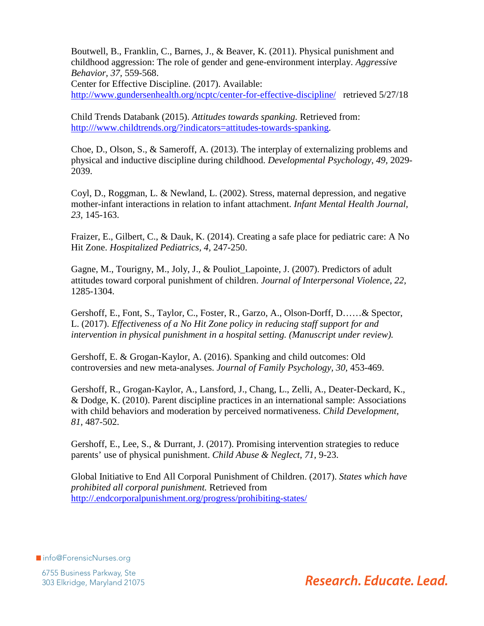Boutwell, B., Franklin, C., Barnes, J., & Beaver, K. (2011). Physical punishment and childhood aggression: The role of gender and gene-environment interplay. *Aggressive Behavior, 37,* 559-568.

Center for Effective Discipline. (2017). Available: <http://www.gundersenhealth.org/ncptc/center-for-effective-discipline/>retrieved 5/27/18

Child Trends Databank (2015). *Attitudes towards spanking.* Retrieved from: [http:///www.childtrends.org/?indicators=attitudes-towards-spanking.](http://www.childtrends.org/?indicators=attitudes-towards-spanking)

Choe, D., Olson, S., & Sameroff, A. (2013). The interplay of externalizing problems and physical and inductive discipline during childhood. *Developmental Psychology, 49,* 2029- 2039.

Coyl, D., Roggman, L. & Newland, L. (2002). Stress, maternal depression, and negative mother-infant interactions in relation to infant attachment. *Infant Mental Health Journal, 23,* 145-163.

Fraizer, E., Gilbert, C., & Dauk, K. (2014). Creating a safe place for pediatric care: A No Hit Zone. *Hospitalized Pediatrics, 4,* 247-250.

Gagne, M., Tourigny, M., Joly, J., & Pouliot\_Lapointe, J. (2007). Predictors of adult attitudes toward corporal punishment of children. *Journal of Interpersonal Violence, 22,*  1285-1304.

Gershoff, E., Font, S., Taylor, C., Foster, R., Garzo, A., Olson-Dorff, D……& Spector, L. (2017). *Effectiveness of a No Hit Zone policy in reducing staff support for and intervention in physical punishment in a hospital setting. (Manuscript under review).*

Gershoff, E. & Grogan-Kaylor, A. (2016). Spanking and child outcomes: Old controversies and new meta-analyses. *Journal of Family Psychology, 30,* 453-469.

Gershoff, R., Grogan-Kaylor, A., Lansford, J., Chang, L., Zelli, A., Deater-Deckard, K., & Dodge, K. (2010). Parent discipline practices in an international sample: Associations with child behaviors and moderation by perceived normativeness. *Child Development, 81,* 487-502.

Gershoff, E., Lee, S., & Durrant, J. (2017). Promising intervention strategies to reduce parents' use of physical punishment. *Child Abuse & Neglect, 71,* 9-23.

Global Initiative to End All Corporal Punishment of Children. (2017). *States which have prohibited all corporal punishment.* Retrieved from <http://.endcorporalpunishment.org/progress/prohibiting-states/>

■ info@ForensicNurses.org

6755 Business Parkway, Ste 303 Elkridge, Maryland 21075

Research. Educate. Lead.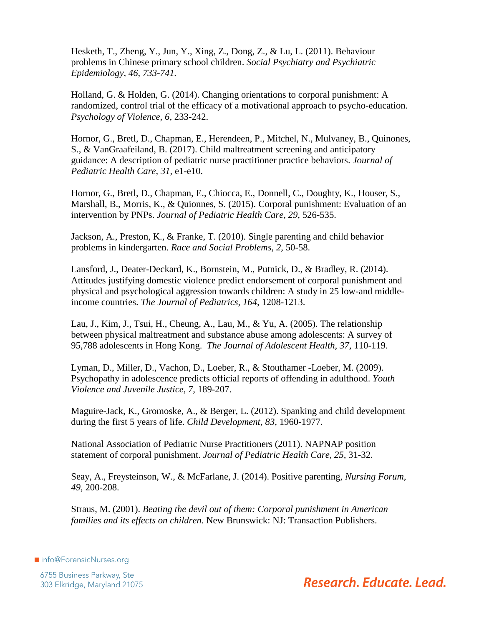Hesketh, T., Zheng, Y., Jun, Y., Xing, Z., Dong, Z., & Lu, L. (2011). Behaviour problems in Chinese primary school children. *Social Psychiatry and Psychiatric Epidemiology, 46, 733-741.* 

Holland, G. & Holden, G. (2014). Changing orientations to corporal punishment: A randomized, control trial of the efficacy of a motivational approach to psycho-education. *Psychology of Violence, 6,* 233-242.

Hornor, G., Bretl, D., Chapman, E., Herendeen, P., Mitchel, N., Mulvaney, B., Quinones, S., & VanGraafeiland, B. (2017). Child maltreatment screening and anticipatory guidance: A description of pediatric nurse practitioner practice behaviors. *Journal of Pediatric Health Care, 31,* e1-e10.

Hornor, G., Bretl, D., Chapman, E., Chiocca, E., Donnell, C., Doughty, K., Houser, S., Marshall, B., Morris, K., & Quionnes, S. (2015). Corporal punishment: Evaluation of an intervention by PNPs. *Journal of Pediatric Health Care, 29,* 526-535.

Jackson, A., Preston, K., & Franke, T. (2010). Single parenting and child behavior problems in kindergarten. *Race and Social Problems, 2,* 50-58.

Lansford, J., Deater-Deckard, K., Bornstein, M., Putnick, D., & Bradley, R. (2014). Attitudes justifying domestic violence predict endorsement of corporal punishment and physical and psychological aggression towards children: A study in 25 low-and middleincome countries. *The Journal of Pediatrics, 164,* 1208-1213.

Lau, J., Kim, J., Tsui, H., Cheung, A., Lau, M., & Yu, A. (2005). The relationship between physical maltreatment and substance abuse among adolescents: A survey of 95,788 adolescents in Hong Kong. *The Journal of Adolescent Health, 37,* 110-119.

Lyman, D., Miller, D., Vachon, D., Loeber, R., & Stouthamer -Loeber, M. (2009). Psychopathy in adolescence predicts official reports of offending in adulthood. *Youth Violence and Juvenile Justice, 7,* 189-207.

Maguire-Jack, K., Gromoske, A., & Berger, L. (2012). Spanking and child development during the first 5 years of life. *Child Development, 83,* 1960-1977.

National Association of Pediatric Nurse Practitioners (2011). NAPNAP position statement of corporal punishment. *Journal of Pediatric Health Care, 25,* 31-32.

Seay, A., Freysteinson, W., & McFarlane, J. (2014). Positive parenting, *Nursing Forum, 49,* 200-208.

Straus, M. (2001). *Beating the devil out of them: Corporal punishment in American families and its effects on children.* New Brunswick: NJ: Transaction Publishers.

■info@ForensicNurses.org

6755 Business Parkway, Ste 303 Elkridge, Maryland 21075

Research, Educate, Lead.